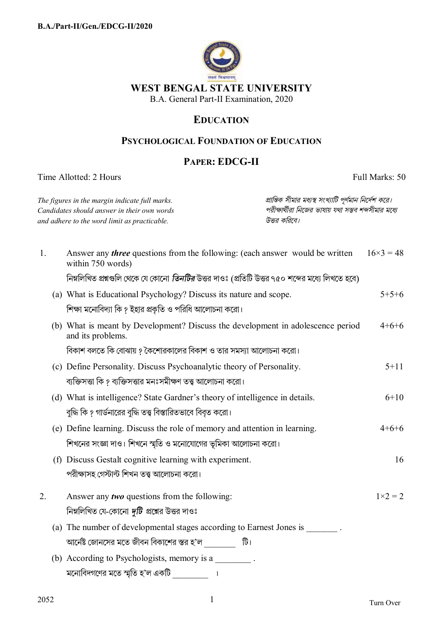

## **EDUCATION**

## PSYCHOLOGICAL FOUNDATION OF EDUCATION

## **PAPER: EDCG-II**

Time Allotted: 2 Hours

Full Marks: 50

| প্রান্তিক সীমার মধ্যস্থ সংখ্যাটি পূর্ণমান নির্দেশ করে।<br>The figures in the margin indicate full marks.<br>পরীক্ষার্থীরা নিজের ভাষায় যথা সম্ভব শব্দসীমার মধ্যে<br>Candidates should answer in their own words<br>উত্তর করিবে।<br>and adhere to the word limit as practicable. |                                                                                                                                                                                                              |                                                                                                          |         |                  |
|---------------------------------------------------------------------------------------------------------------------------------------------------------------------------------------------------------------------------------------------------------------------------------|--------------------------------------------------------------------------------------------------------------------------------------------------------------------------------------------------------------|----------------------------------------------------------------------------------------------------------|---------|------------------|
| 1.                                                                                                                                                                                                                                                                              |                                                                                                                                                                                                              | Answer any <i>three</i> questions from the following: (each answer would be written<br>within 750 words) |         | $16\times3=48$   |
|                                                                                                                                                                                                                                                                                 |                                                                                                                                                                                                              | নিম্নলিখিত প্রশ্নগুলি থেকে যে কোনো <i>তিনটির</i> উত্তর দাওঃ (প্রতিটি উত্তর ৭৫০ শব্দের মধ্যে লিখতে হবে)   |         |                  |
|                                                                                                                                                                                                                                                                                 |                                                                                                                                                                                                              | (a) What is Educational Psychology? Discuss its nature and scope.                                        |         | $5+5+6$          |
|                                                                                                                                                                                                                                                                                 | শিক্ষা মনোবিদ্যা কি ? ইহার প্রকৃতি ও পরিধি আলোচনা করো।                                                                                                                                                       |                                                                                                          |         |                  |
|                                                                                                                                                                                                                                                                                 | (b) What is meant by Development? Discuss the development in adolescence period<br>and its problems.                                                                                                         |                                                                                                          | $4+6+6$ |                  |
| বিকাশ বলতে কি বোঝায় ? কৈশোরকালের বিকাশ ও তার সমস্যা আলোচনা করো।                                                                                                                                                                                                                |                                                                                                                                                                                                              |                                                                                                          |         |                  |
|                                                                                                                                                                                                                                                                                 | (c) Define Personality. Discuss Psychoanalytic theory of Personality.<br>ব্যক্তিসত্তা কি ? ব্যক্তিসত্তার মনঃসমীক্ষণ তত্ত্ব আলোচনা করো।                                                                       |                                                                                                          |         | $5 + 11$         |
|                                                                                                                                                                                                                                                                                 |                                                                                                                                                                                                              |                                                                                                          |         |                  |
|                                                                                                                                                                                                                                                                                 |                                                                                                                                                                                                              | (d) What is intelligence? State Gardner's theory of intelligence in details.                             |         | $6 + 10$         |
|                                                                                                                                                                                                                                                                                 | বুদ্ধি কি ? গার্ডনারের বুদ্ধি তত্ত্ব বিস্তারিতভাবে বিবৃত করো।<br>(e) Define learning. Discuss the role of memory and attention in learning.<br>শিখনের সংজ্ঞা দাও। শিখনে স্মৃতি ও মনোযোগের ভূমিকা আলোচনা করো। |                                                                                                          |         |                  |
|                                                                                                                                                                                                                                                                                 |                                                                                                                                                                                                              |                                                                                                          |         | $4+6+6$          |
|                                                                                                                                                                                                                                                                                 |                                                                                                                                                                                                              |                                                                                                          |         |                  |
|                                                                                                                                                                                                                                                                                 |                                                                                                                                                                                                              | (f) Discuss Gestalt cognitive learning with experiment.                                                  |         | 16               |
|                                                                                                                                                                                                                                                                                 |                                                                                                                                                                                                              | পরীক্ষাসহ গেস্টাল্ট শিখন তত্ত্ব আলোচনা করো।                                                              |         |                  |
| 2.                                                                                                                                                                                                                                                                              |                                                                                                                                                                                                              | Answer any <i>two</i> questions from the following:                                                      |         | $1 \times 2 = 2$ |
|                                                                                                                                                                                                                                                                                 | নিম্নলিখিত যে-কোনো <i>দুটি</i> প্রশ্নের উত্তর দাওঃ                                                                                                                                                           |                                                                                                          |         |                  |
|                                                                                                                                                                                                                                                                                 |                                                                                                                                                                                                              | (a) The number of developmental stages according to Earnest Jones is ________.                           |         |                  |
|                                                                                                                                                                                                                                                                                 | আর্নেষ্ট জোনসের মতে জীবন বিকাশের স্তর হ'ল                   টি।                                                                                                                                              |                                                                                                          |         |                  |
|                                                                                                                                                                                                                                                                                 | (b) According to Psychologists, memory is a                                                                                                                                                                  |                                                                                                          |         |                  |
|                                                                                                                                                                                                                                                                                 |                                                                                                                                                                                                              | মনোবিদগণের মতে স্মৃতি হ'ল একটি <u>___________</u> ।                                                      |         |                  |